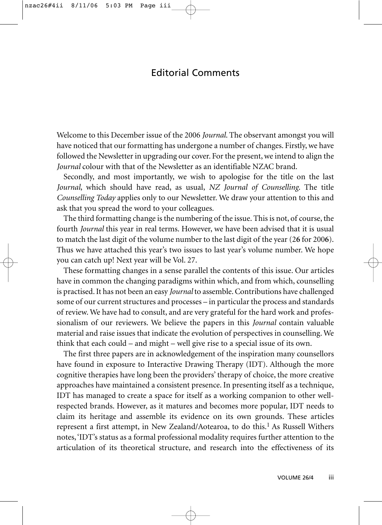## Editorial Comments

Welcome to this December issue of the 2006 *Journal*. The observant amongst you will have noticed that our formatting has undergone a number of changes. Firstly, we have followed the Newsletter in upgrading our cover. For the present, we intend to align the *Journal* colour with that of the Newsletter as an identifiable NZAC brand.

Secondly, and most importantly, we wish to apologise for the title on the last *Journal*, which should have read, as usual, *NZ Journal of Counselling*. The title *Counselling Today* applies only to our Newsletter. We draw your attention to this and ask that you spread the word to your colleagues.

The third formatting change is the numbering of the issue. This is not, of course, the fourth *Journal* this year in real terms. However, we have been advised that it is usual to match the last digit of the volume number to the last digit of the year (2**6** for 200**6**). Thus we have attached this year's two issues to last year's volume number. We hope you can catch up! Next year will be Vol. 27.

These formatting changes in a sense parallel the contents of this issue. Our articles have in common the changing paradigms within which, and from which, counselling is practised. It has not been an easy *Journal* to assemble. Contributions have challenged some of our current structures and processes – in particular the process and standards of review. We have had to consult, and are very grateful for the hard work and professionalism of our reviewers. We believe the papers in this *Journal* contain valuable material and raise issues that indicate the evolution of perspectives in counselling. We think that each could – and might – well give rise to a special issue of its own.

The first three papers are in acknowledgement of the inspiration many counsellors have found in exposure to Interactive Drawing Therapy (IDT). Although the more cognitive therapies have long been the providers' therapy of choice, the more creative approaches have maintained a consistent presence. In presenting itself as a technique, IDT has managed to create a space for itself as a working companion to other wellrespected brands. However, as it matures and becomes more popular, IDT needs to claim its heritage and assemble its evidence on its own grounds. These articles represent a first attempt, in New Zealand/Aotearoa, to do this.<sup>1</sup> As Russell Withers notes, 'IDT's status as a formal professional modality requires further attention to the articulation of its theoretical structure, and research into the effectiveness of its